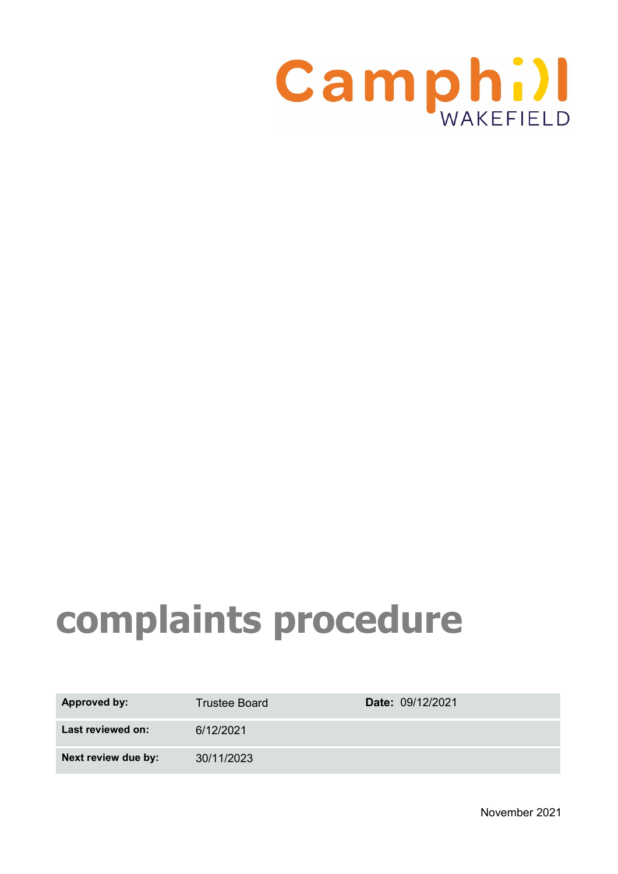

# **complaints procedure**

| <b>Approved by:</b> | <b>Trustee Board</b> | Date: 09/12/2021 |
|---------------------|----------------------|------------------|
| Last reviewed on:   | 6/12/2021            |                  |
| Next review due by: | 30/11/2023           |                  |

November 2021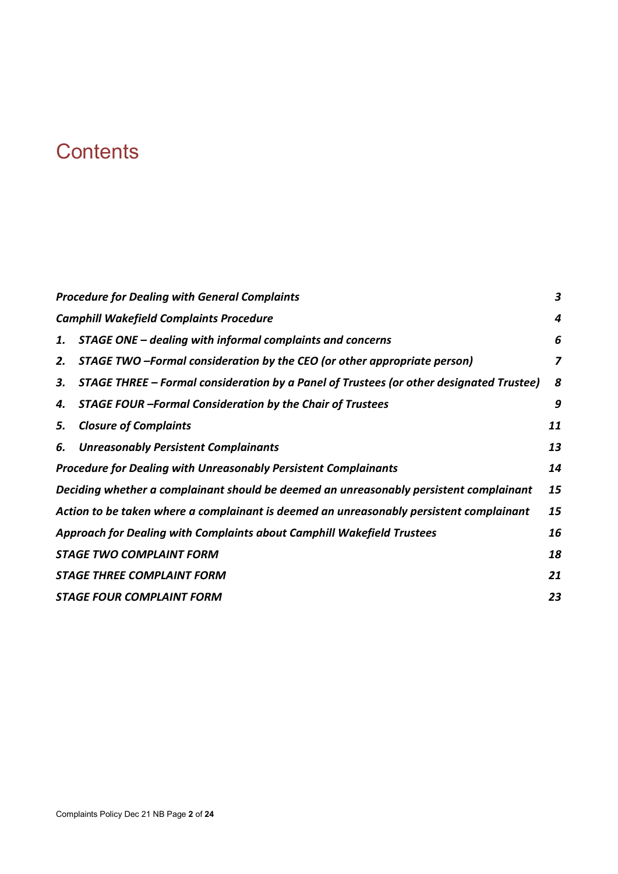## **Contents**

|    | <b>Procedure for Dealing with General Complaints</b>                                    | $\boldsymbol{3}$ |
|----|-----------------------------------------------------------------------------------------|------------------|
|    | <b>Camphill Wakefield Complaints Procedure</b>                                          | 4                |
| 1. | STAGE ONE – dealing with informal complaints and concerns                               | 6                |
| 2. | STAGE TWO -Formal consideration by the CEO (or other appropriate person)                | 7                |
| 3. | STAGE THREE – Formal consideration by a Panel of Trustees (or other designated Trustee) | 8                |
| 4. | <b>STAGE FOUR -Formal Consideration by the Chair of Trustees</b>                        | 9                |
| 5. | <b>Closure of Complaints</b>                                                            | 11               |
| 6. | <b>Unreasonably Persistent Complainants</b>                                             | 13               |
|    | Procedure for Dealing with Unreasonably Persistent Complainants                         | 14               |
|    | Deciding whether a complainant should be deemed an unreasonably persistent complainant  | 15               |
|    | Action to be taken where a complainant is deemed an unreasonably persistent complainant | 15               |
|    | Approach for Dealing with Complaints about Camphill Wakefield Trustees                  | 16               |
|    | <b>STAGE TWO COMPLAINT FORM</b>                                                         | 18               |
|    | <b>STAGE THREE COMPLAINT FORM</b>                                                       | 21               |
|    | <b>STAGE FOUR COMPLAINT FORM</b>                                                        | 23               |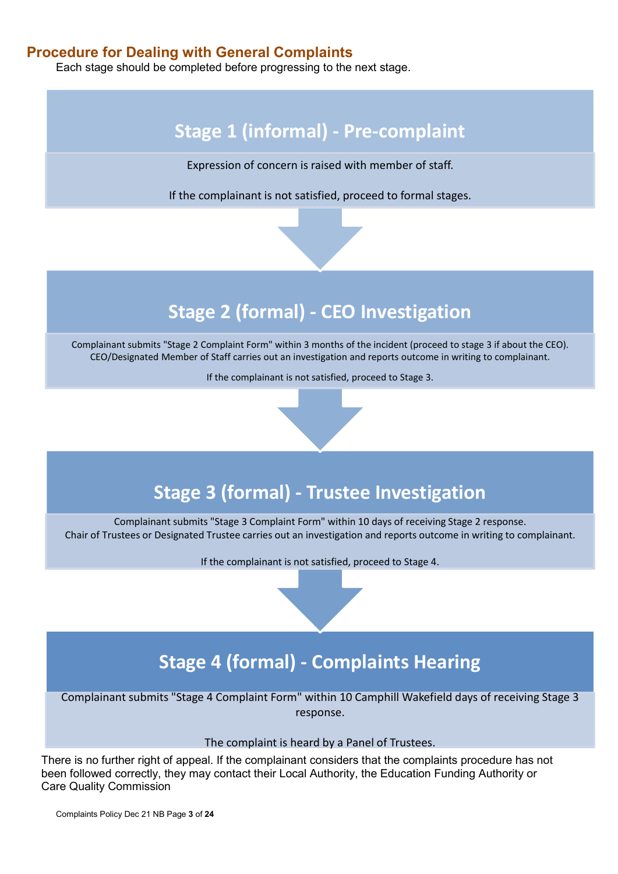## <span id="page-2-0"></span>**Procedure for Dealing with General Complaints**

Each stage should be completed before progressing to the next stage.

## **Stage 1 (informal) - Pre-complaint**

Expression of concern is raised with member of staff.

If the complainant is not satisfied, proceed to formal stages.

## **Stage 2 (formal) - CEO Investigation**

Complainant submits "Stage 2 Complaint Form" within 3 months of the incident (proceed to stage 3 if about the CEO). CEO/Designated Member of Staff carries out an investigation and reports outcome in writing to complainant.

If the complainant is not satisfied, proceed to Stage 3.

## **Stage 3 (formal) - Trustee Investigation**

Complainant submits "Stage 3 Complaint Form" within 10 days of receiving Stage 2 response. Chair of Trustees or Designated Trustee carries out an investigation and reports outcome in writing to complainant.

If the complainant is not satisfied, proceed to Stage 4.

## **Stage 4 (formal) - Complaints Hearing**

Complainant submits "Stage 4 Complaint Form" within 10 Camphill Wakefield days of receiving Stage 3 response.

The complaint is heard by a Panel of Trustees.

There is no further right of appeal. If the complainant considers that the complaints procedure has not been followed correctly, they may contact their Local Authority, the Education Funding Authority or Care Quality Commission

Complaints Policy Dec 21 NB Page **3** of **24**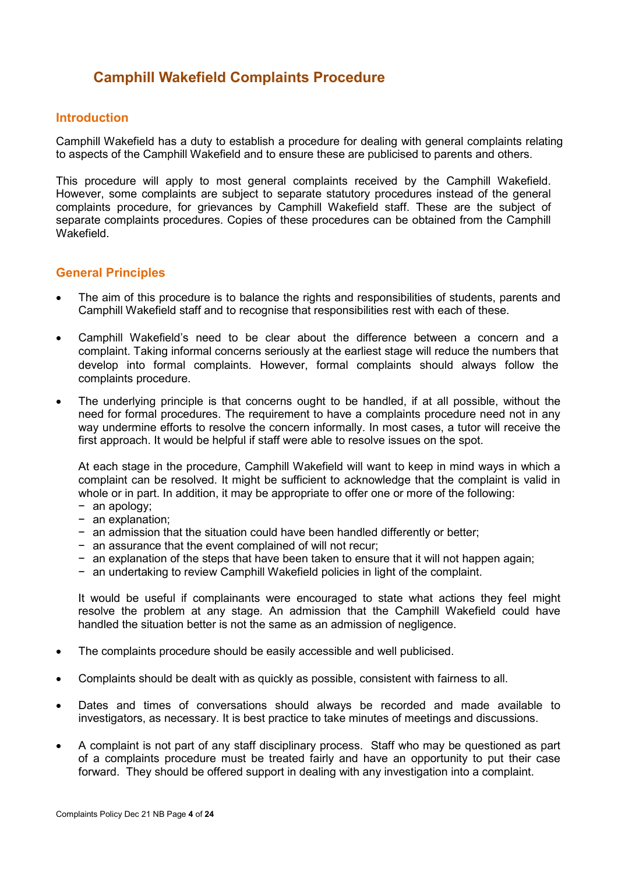## <span id="page-3-0"></span>**Camphill Wakefield Complaints Procedure**

#### **Introduction**

Camphill Wakefield has a duty to establish a procedure for dealing with general complaints relating to aspects of the Camphill Wakefield and to ensure these are publicised to parents and others.

This procedure will apply to most general complaints received by the Camphill Wakefield. However, some complaints are subject to separate statutory procedures instead of the general complaints procedure, for grievances by Camphill Wakefield staff. These are the subject of separate complaints procedures. Copies of these procedures can be obtained from the Camphill Wakefield.

#### **General Principles**

- The aim of this procedure is to balance the rights and responsibilities of students, parents and Camphill Wakefield staff and to recognise that responsibilities rest with each of these.
- Camphill Wakefield's need to be clear about the difference between a concern and a complaint. Taking informal concerns seriously at the earliest stage will reduce the numbers that develop into formal complaints. However, formal complaints should always follow the complaints procedure.
- The underlying principle is that concerns ought to be handled, if at all possible, without the need for formal procedures. The requirement to have a complaints procedure need not in any way undermine efforts to resolve the concern informally. In most cases, a tutor will receive the first approach. It would be helpful if staff were able to resolve issues on the spot.

At each stage in the procedure, Camphill Wakefield will want to keep in mind ways in which a complaint can be resolved. It might be sufficient to acknowledge that the complaint is valid in whole or in part. In addition, it may be appropriate to offer one or more of the following:

- − an apology;
- − an explanation;
- − an admission that the situation could have been handled differently or better;
- − an assurance that the event complained of will not recur;
- − an explanation of the steps that have been taken to ensure that it will not happen again;
- − an undertaking to review Camphill Wakefield policies in light of the complaint.

It would be useful if complainants were encouraged to state what actions they feel might resolve the problem at any stage. An admission that the Camphill Wakefield could have handled the situation better is not the same as an admission of negligence.

- The complaints procedure should be easily accessible and well publicised.
- Complaints should be dealt with as quickly as possible, consistent with fairness to all.
- Dates and times of conversations should always be recorded and made available to investigators, as necessary. It is best practice to take minutes of meetings and discussions.
- A complaint is not part of any staff disciplinary process. Staff who may be questioned as part of a complaints procedure must be treated fairly and have an opportunity to put their case forward. They should be offered support in dealing with any investigation into a complaint.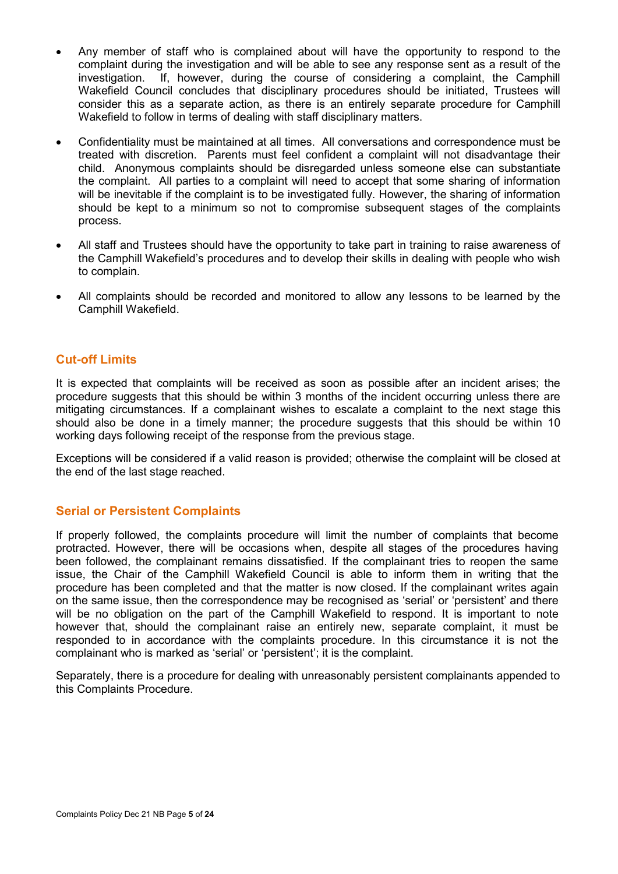- Any member of staff who is complained about will have the opportunity to respond to the complaint during the investigation and will be able to see any response sent as a result of the investigation. If, however, during the course of considering a complaint, the Camphill Wakefield Council concludes that disciplinary procedures should be initiated, Trustees will consider this as a separate action, as there is an entirely separate procedure for Camphill Wakefield to follow in terms of dealing with staff disciplinary matters.
- Confidentiality must be maintained at all times. All conversations and correspondence must be treated with discretion. Parents must feel confident a complaint will not disadvantage their child. Anonymous complaints should be disregarded unless someone else can substantiate the complaint. All parties to a complaint will need to accept that some sharing of information will be inevitable if the complaint is to be investigated fully. However, the sharing of information should be kept to a minimum so not to compromise subsequent stages of the complaints process.
- All staff and Trustees should have the opportunity to take part in training to raise awareness of the Camphill Wakefield's procedures and to develop their skills in dealing with people who wish to complain.
- All complaints should be recorded and monitored to allow any lessons to be learned by the Camphill Wakefield.

#### **Cut-off Limits**

It is expected that complaints will be received as soon as possible after an incident arises; the procedure suggests that this should be within 3 months of the incident occurring unless there are mitigating circumstances. If a complainant wishes to escalate a complaint to the next stage this should also be done in a timely manner; the procedure suggests that this should be within 10 working days following receipt of the response from the previous stage.

Exceptions will be considered if a valid reason is provided; otherwise the complaint will be closed at the end of the last stage reached.

#### **Serial or Persistent Complaints**

If properly followed, the complaints procedure will limit the number of complaints that become protracted. However, there will be occasions when, despite all stages of the procedures having been followed, the complainant remains dissatisfied. If the complainant tries to reopen the same issue, the Chair of the Camphill Wakefield Council is able to inform them in writing that the procedure has been completed and that the matter is now closed. If the complainant writes again on the same issue, then the correspondence may be recognised as 'serial' or 'persistent' and there will be no obligation on the part of the Camphill Wakefield to respond. It is important to note however that, should the complainant raise an entirely new, separate complaint, it must be responded to in accordance with the complaints procedure. In this circumstance it is not the complainant who is marked as 'serial' or 'persistent'; it is the complaint.

Separately, there is a procedure for dealing with unreasonably persistent complainants appended to this Complaints Procedure.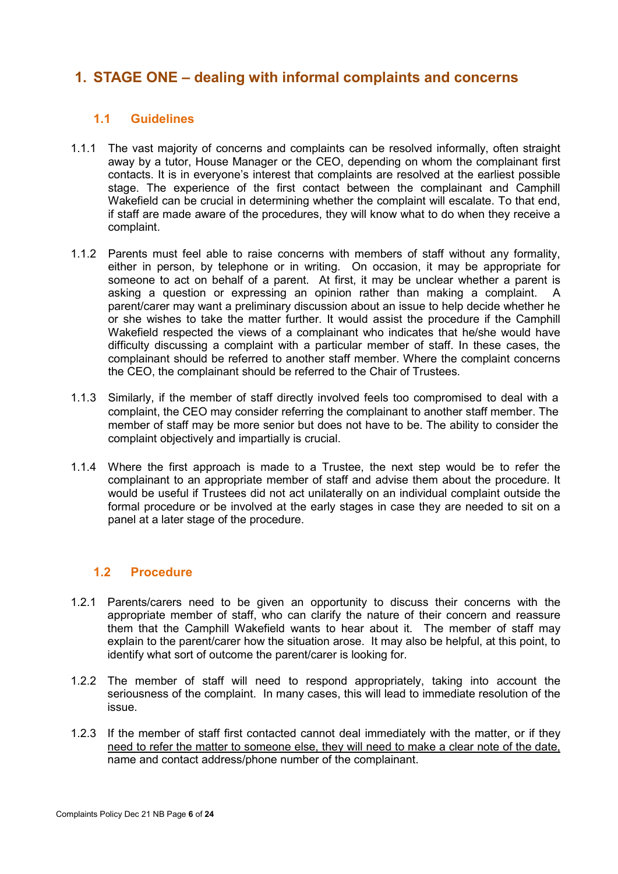## <span id="page-5-0"></span>**1. STAGE ONE – dealing with informal complaints and concerns**

## **1.1 Guidelines**

- 1.1.1 The vast majority of concerns and complaints can be resolved informally, often straight away by a tutor, House Manager or the CEO, depending on whom the complainant first contacts. It is in everyone's interest that complaints are resolved at the earliest possible stage. The experience of the first contact between the complainant and Camphill Wakefield can be crucial in determining whether the complaint will escalate. To that end, if staff are made aware of the procedures, they will know what to do when they receive a complaint.
- 1.1.2 Parents must feel able to raise concerns with members of staff without any formality, either in person, by telephone or in writing. On occasion, it may be appropriate for someone to act on behalf of a parent. At first, it may be unclear whether a parent is asking a question or expressing an opinion rather than making a complaint. A parent/carer may want a preliminary discussion about an issue to help decide whether he or she wishes to take the matter further. It would assist the procedure if the Camphill Wakefield respected the views of a complainant who indicates that he/she would have difficulty discussing a complaint with a particular member of staff. In these cases, the complainant should be referred to another staff member. Where the complaint concerns the CEO, the complainant should be referred to the Chair of Trustees.
- 1.1.3 Similarly, if the member of staff directly involved feels too compromised to deal with a complaint, the CEO may consider referring the complainant to another staff member. The member of staff may be more senior but does not have to be. The ability to consider the complaint objectively and impartially is crucial.
- 1.1.4 Where the first approach is made to a Trustee, the next step would be to refer the complainant to an appropriate member of staff and advise them about the procedure. It would be useful if Trustees did not act unilaterally on an individual complaint outside the formal procedure or be involved at the early stages in case they are needed to sit on a panel at a later stage of the procedure.

## **1.2 Procedure**

- 1.2.1 Parents/carers need to be given an opportunity to discuss their concerns with the appropriate member of staff, who can clarify the nature of their concern and reassure them that the Camphill Wakefield wants to hear about it. The member of staff may explain to the parent/carer how the situation arose. It may also be helpful, at this point, to identify what sort of outcome the parent/carer is looking for.
- 1.2.2 The member of staff will need to respond appropriately, taking into account the seriousness of the complaint. In many cases, this will lead to immediate resolution of the issue.
- 1.2.3 If the member of staff first contacted cannot deal immediately with the matter, or if they need to refer the matter to someone else, they will need to make a clear note of the date, name and contact address/phone number of the complainant.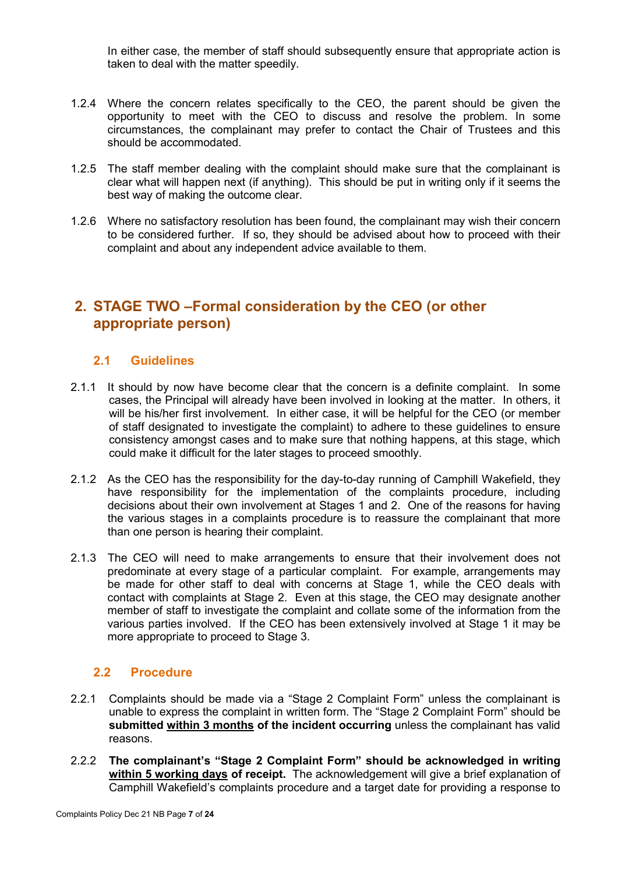In either case, the member of staff should subsequently ensure that appropriate action is taken to deal with the matter speedily.

- 1.2.4 Where the concern relates specifically to the CEO, the parent should be given the opportunity to meet with the CEO to discuss and resolve the problem. In some circumstances, the complainant may prefer to contact the Chair of Trustees and this should be accommodated.
- 1.2.5 The staff member dealing with the complaint should make sure that the complainant is clear what will happen next (if anything). This should be put in writing only if it seems the best way of making the outcome clear.
- 1.2.6 Where no satisfactory resolution has been found, the complainant may wish their concern to be considered further. If so, they should be advised about how to proceed with their complaint and about any independent advice available to them.

## <span id="page-6-0"></span>**2. STAGE TWO –Formal consideration by the CEO (or other appropriate person)**

## **2.1 Guidelines**

- 2.1.1 It should by now have become clear that the concern is a definite complaint. In some cases, the Principal will already have been involved in looking at the matter. In others, it will be his/her first involvement. In either case, it will be helpful for the CEO (or member of staff designated to investigate the complaint) to adhere to these guidelines to ensure consistency amongst cases and to make sure that nothing happens, at this stage, which could make it difficult for the later stages to proceed smoothly.
- 2.1.2 As the CEO has the responsibility for the day-to-day running of Camphill Wakefield, they have responsibility for the implementation of the complaints procedure, including decisions about their own involvement at Stages 1 and 2. One of the reasons for having the various stages in a complaints procedure is to reassure the complainant that more than one person is hearing their complaint.
- 2.1.3 The CEO will need to make arrangements to ensure that their involvement does not predominate at every stage of a particular complaint. For example, arrangements may be made for other staff to deal with concerns at Stage 1, while the CEO deals with contact with complaints at Stage 2. Even at this stage, the CEO may designate another member of staff to investigate the complaint and collate some of the information from the various parties involved. If the CEO has been extensively involved at Stage 1 it may be more appropriate to proceed to Stage 3.

## **2.2 Procedure**

- 2.2.1 Complaints should be made via a "Stage 2 Complaint Form" unless the complainant is unable to express the complaint in written form. The "Stage 2 Complaint Form" should be **submitted within 3 months of the incident occurring** unless the complainant has valid reasons.
- 2.2.2 **The complainant's "Stage 2 Complaint Form" should be acknowledged in writing within 5 working days of receipt.** The acknowledgement will give a brief explanation of Camphill Wakefield's complaints procedure and a target date for providing a response to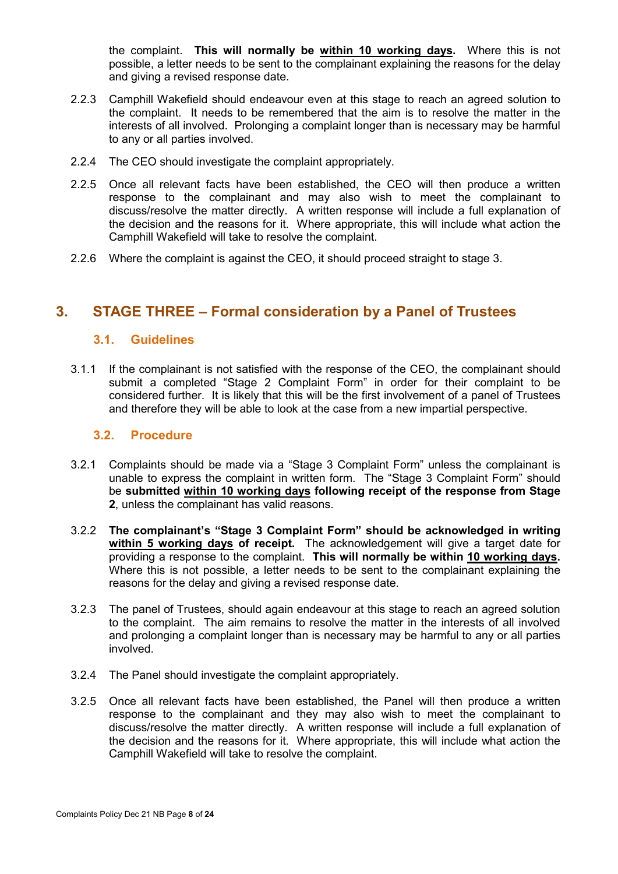the complaint. **This will normally be within 10 working days.** Where this is not possible, a letter needs to be sent to the complainant explaining the reasons for the delay and giving a revised response date.

- 2.2.3 Camphill Wakefield should endeavour even at this stage to reach an agreed solution to the complaint. It needs to be remembered that the aim is to resolve the matter in the interests of all involved. Prolonging a complaint longer than is necessary may be harmful to any or all parties involved.
- 2.2.4 The CEO should investigate the complaint appropriately.
- 2.2.5 Once all relevant facts have been established, the CEO will then produce a written response to the complainant and may also wish to meet the complainant to discuss/resolve the matter directly. A written response will include a full explanation of the decision and the reasons for it. Where appropriate, this will include what action the Camphill Wakefield will take to resolve the complaint.
- 2.2.6 Where the complaint is against the CEO, it should proceed straight to stage 3.

## <span id="page-7-0"></span>**3. STAGE THREE – Formal consideration by a Panel of Trustees**

#### **3.1. Guidelines**

3.1.1 If the complainant is not satisfied with the response of the CEO, the complainant should submit a completed "Stage 2 Complaint Form" in order for their complaint to be considered further. It is likely that this will be the first involvement of a panel of Trustees and therefore they will be able to look at the case from a new impartial perspective.

#### **3.2. Procedure**

- 3.2.1 Complaints should be made via a "Stage 3 Complaint Form" unless the complainant is unable to express the complaint in written form. The "Stage 3 Complaint Form" should be **submitted within 10 working days following receipt of the response from Stage 2**, unless the complainant has valid reasons.
- 3.2.2 **The complainant's "Stage 3 Complaint Form" should be acknowledged in writing within 5 working days of receipt.** The acknowledgement will give a target date for providing a response to the complaint. **This will normally be within 10 working days.** Where this is not possible, a letter needs to be sent to the complainant explaining the reasons for the delay and giving a revised response date.
- 3.2.3 The panel of Trustees, should again endeavour at this stage to reach an agreed solution to the complaint. The aim remains to resolve the matter in the interests of all involved and prolonging a complaint longer than is necessary may be harmful to any or all parties involved.
- 3.2.4 The Panel should investigate the complaint appropriately.
- 3.2.5 Once all relevant facts have been established, the Panel will then produce a written response to the complainant and they may also wish to meet the complainant to discuss/resolve the matter directly. A written response will include a full explanation of the decision and the reasons for it. Where appropriate, this will include what action the Camphill Wakefield will take to resolve the complaint.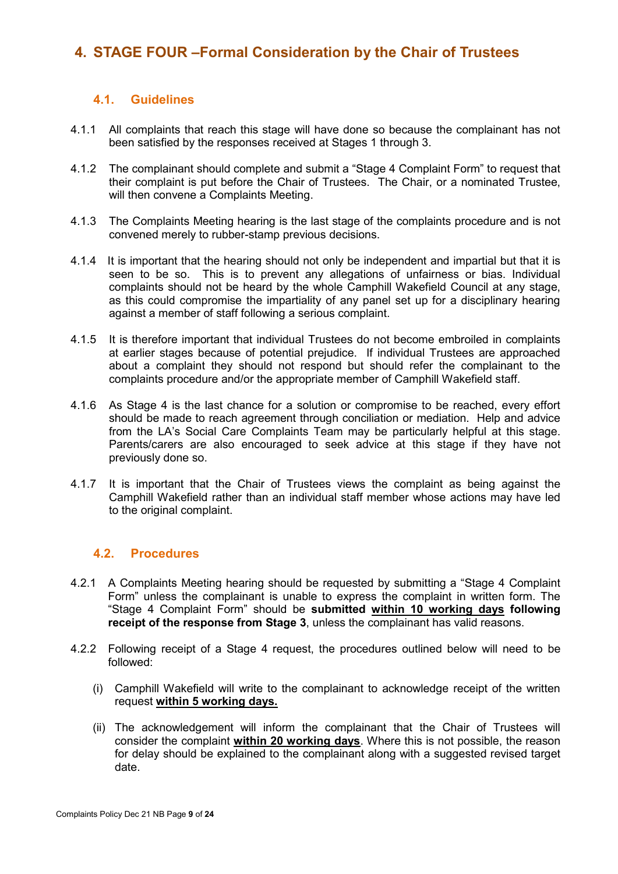## <span id="page-8-0"></span>**4. STAGE FOUR –Formal Consideration by the Chair of Trustees**

## **4.1. Guidelines**

- 4.1.1 All complaints that reach this stage will have done so because the complainant has not been satisfied by the responses received at Stages 1 through 3.
- 4.1.2 The complainant should complete and submit a "Stage 4 Complaint Form" to request that their complaint is put before the Chair of Trustees. The Chair, or a nominated Trustee, will then convene a Complaints Meeting.
- 4.1.3 The Complaints Meeting hearing is the last stage of the complaints procedure and is not convened merely to rubber-stamp previous decisions.
- 4.1.4 It is important that the hearing should not only be independent and impartial but that it is seen to be so. This is to prevent any allegations of unfairness or bias. Individual complaints should not be heard by the whole Camphill Wakefield Council at any stage, as this could compromise the impartiality of any panel set up for a disciplinary hearing against a member of staff following a serious complaint.
- 4.1.5 It is therefore important that individual Trustees do not become embroiled in complaints at earlier stages because of potential prejudice. If individual Trustees are approached about a complaint they should not respond but should refer the complainant to the complaints procedure and/or the appropriate member of Camphill Wakefield staff.
- 4.1.6 As Stage 4 is the last chance for a solution or compromise to be reached, every effort should be made to reach agreement through conciliation or mediation. Help and advice from the LA's Social Care Complaints Team may be particularly helpful at this stage. Parents/carers are also encouraged to seek advice at this stage if they have not previously done so.
- 4.1.7 It is important that the Chair of Trustees views the complaint as being against the Camphill Wakefield rather than an individual staff member whose actions may have led to the original complaint.

## **4.2. Procedures**

- 4.2.1 A Complaints Meeting hearing should be requested by submitting a "Stage 4 Complaint Form" unless the complainant is unable to express the complaint in written form. The "Stage 4 Complaint Form" should be **submitted within 10 working days following receipt of the response from Stage 3**, unless the complainant has valid reasons.
- 4.2.2 Following receipt of a Stage 4 request, the procedures outlined below will need to be followed:
	- (i) Camphill Wakefield will write to the complainant to acknowledge receipt of the written request **within 5 working days.**
	- (ii) The acknowledgement will inform the complainant that the Chair of Trustees will consider the complaint **within 20 working days**. Where this is not possible, the reason for delay should be explained to the complainant along with a suggested revised target date.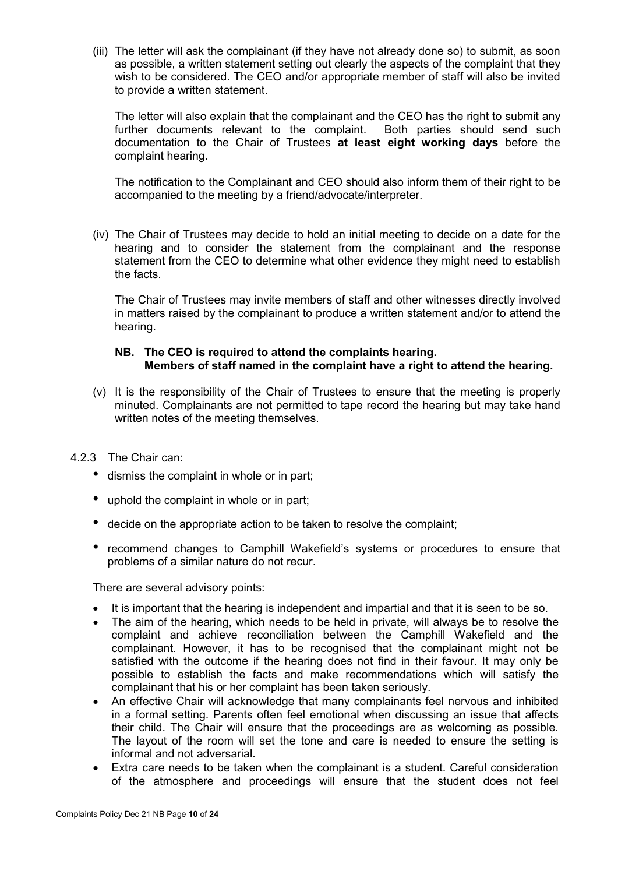(iii) The letter will ask the complainant (if they have not already done so) to submit, as soon as possible, a written statement setting out clearly the aspects of the complaint that they wish to be considered. The CEO and/or appropriate member of staff will also be invited to provide a written statement.

The letter will also explain that the complainant and the CEO has the right to submit any further documents relevant to the complaint. Both parties should send such documentation to the Chair of Trustees **at least eight working days** before the complaint hearing.

The notification to the Complainant and CEO should also inform them of their right to be accompanied to the meeting by a friend/advocate/interpreter.

(iv) The Chair of Trustees may decide to hold an initial meeting to decide on a date for the hearing and to consider the statement from the complainant and the response statement from the CEO to determine what other evidence they might need to establish the facts.

The Chair of Trustees may invite members of staff and other witnesses directly involved in matters raised by the complainant to produce a written statement and/or to attend the hearing.

#### **NB. The CEO is required to attend the complaints hearing. Members of staff named in the complaint have a right to attend the hearing.**

- (v) It is the responsibility of the Chair of Trustees to ensure that the meeting is properly minuted. Complainants are not permitted to tape record the hearing but may take hand written notes of the meeting themselves.
- 4.2.3 The Chair can:
	- dismiss the complaint in whole or in part;
	- uphold the complaint in whole or in part;
	- decide on the appropriate action to be taken to resolve the complaint;
	- recommend changes to Camphill Wakefield's systems or procedures to ensure that problems of a similar nature do not recur.

There are several advisory points:

- It is important that the hearing is independent and impartial and that it is seen to be so.
- The aim of the hearing, which needs to be held in private, will always be to resolve the complaint and achieve reconciliation between the Camphill Wakefield and the complainant. However, it has to be recognised that the complainant might not be satisfied with the outcome if the hearing does not find in their favour. It may only be possible to establish the facts and make recommendations which will satisfy the complainant that his or her complaint has been taken seriously.
- An effective Chair will acknowledge that many complainants feel nervous and inhibited in a formal setting. Parents often feel emotional when discussing an issue that affects their child. The Chair will ensure that the proceedings are as welcoming as possible. The layout of the room will set the tone and care is needed to ensure the setting is informal and not adversarial.
- Extra care needs to be taken when the complainant is a student. Careful consideration of the atmosphere and proceedings will ensure that the student does not feel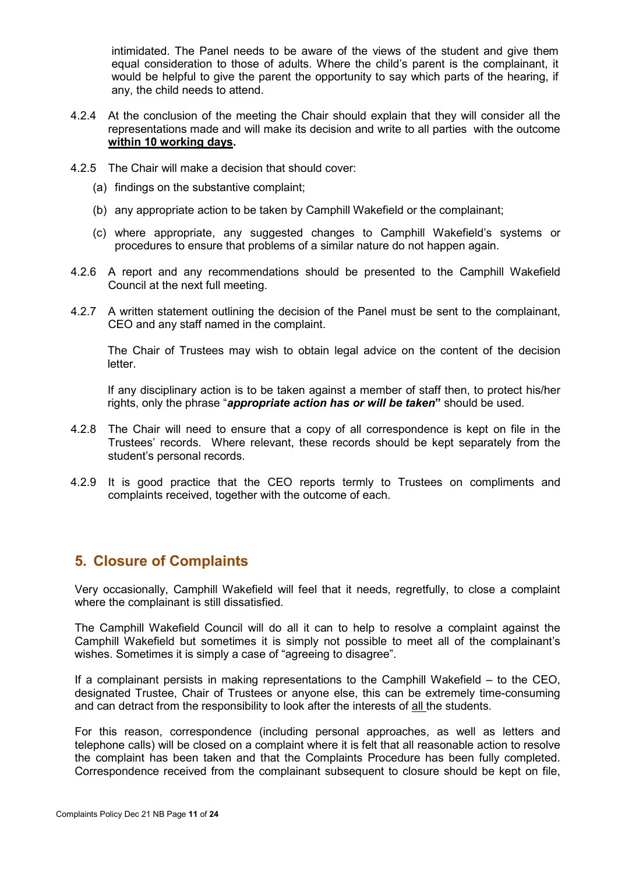intimidated. The Panel needs to be aware of the views of the student and give them equal consideration to those of adults. Where the child's parent is the complainant, it would be helpful to give the parent the opportunity to say which parts of the hearing, if any, the child needs to attend.

- 4.2.4 At the conclusion of the meeting the Chair should explain that they will consider all the representations made and will make its decision and write to all parties with the outcome **within 10 working days.**
- 4.2.5 The Chair will make a decision that should cover:
	- (a) findings on the substantive complaint;
	- (b) any appropriate action to be taken by Camphill Wakefield or the complainant;
	- (c) where appropriate, any suggested changes to Camphill Wakefield's systems or procedures to ensure that problems of a similar nature do not happen again.
- 4.2.6 A report and any recommendations should be presented to the Camphill Wakefield Council at the next full meeting.
- 4.2.7 A written statement outlining the decision of the Panel must be sent to the complainant, CEO and any staff named in the complaint.

The Chair of Trustees may wish to obtain legal advice on the content of the decision letter.

If any disciplinary action is to be taken against a member of staff then, to protect his/her rights, only the phrase "*appropriate action has or will be taken***"** should be used.

- 4.2.8 The Chair will need to ensure that a copy of all correspondence is kept on file in the Trustees' records. Where relevant, these records should be kept separately from the student's personal records.
- 4.2.9 It is good practice that the CEO reports termly to Trustees on compliments and complaints received, together with the outcome of each.

## <span id="page-10-0"></span>**5. Closure of Complaints**

Very occasionally, Camphill Wakefield will feel that it needs, regretfully, to close a complaint where the complainant is still dissatisfied.

The Camphill Wakefield Council will do all it can to help to resolve a complaint against the Camphill Wakefield but sometimes it is simply not possible to meet all of the complainant's wishes. Sometimes it is simply a case of "agreeing to disagree".

If a complainant persists in making representations to the Camphill Wakefield – to the CEO, designated Trustee, Chair of Trustees or anyone else, this can be extremely time-consuming and can detract from the responsibility to look after the interests of all the students.

For this reason, correspondence (including personal approaches, as well as letters and telephone calls) will be closed on a complaint where it is felt that all reasonable action to resolve the complaint has been taken and that the Complaints Procedure has been fully completed. Correspondence received from the complainant subsequent to closure should be kept on file,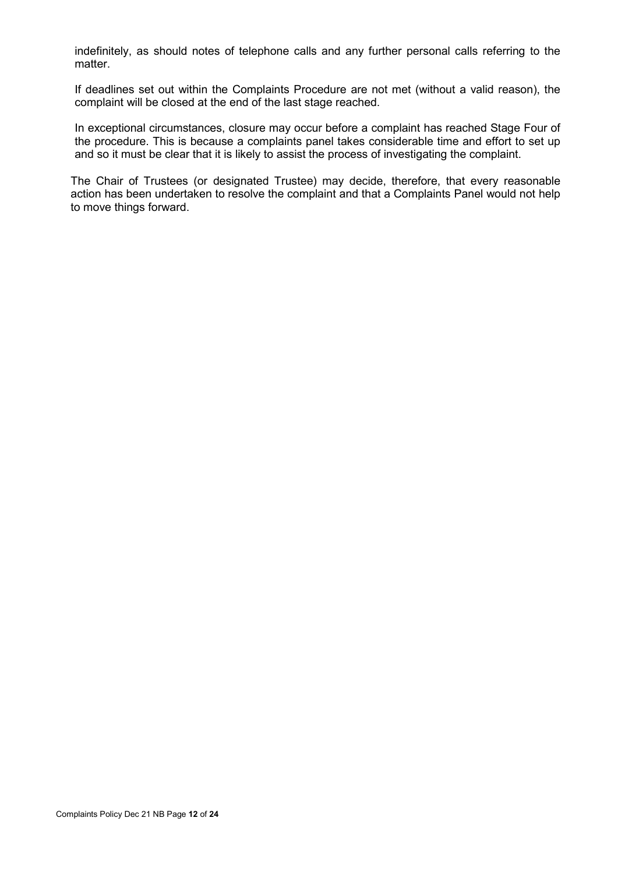indefinitely, as should notes of telephone calls and any further personal calls referring to the matter.

If deadlines set out within the Complaints Procedure are not met (without a valid reason), the complaint will be closed at the end of the last stage reached.

In exceptional circumstances, closure may occur before a complaint has reached Stage Four of the procedure. This is because a complaints panel takes considerable time and effort to set up and so it must be clear that it is likely to assist the process of investigating the complaint.

The Chair of Trustees (or designated Trustee) may decide, therefore, that every reasonable action has been undertaken to resolve the complaint and that a Complaints Panel would not help to move things forward.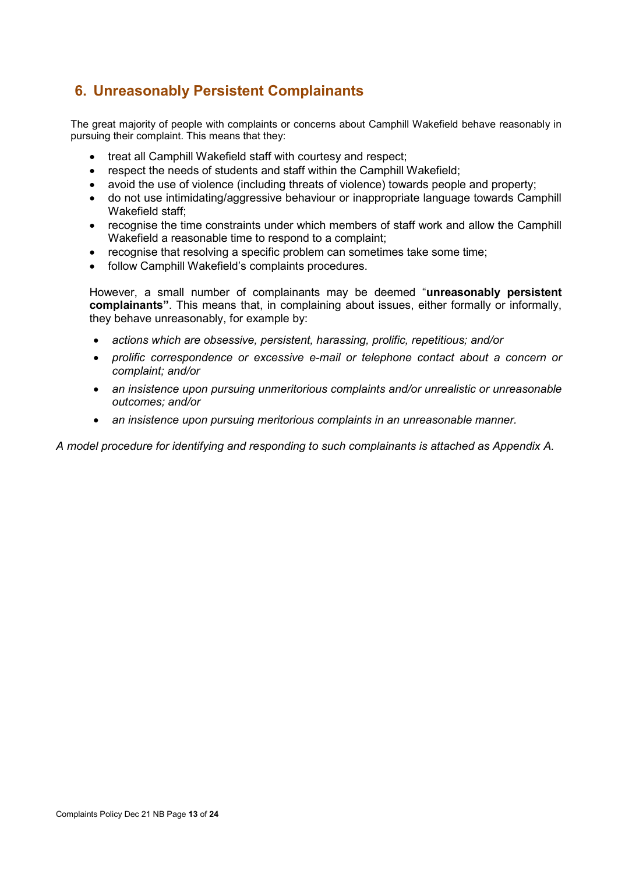## <span id="page-12-0"></span>**6. Unreasonably Persistent Complainants**

The great majority of people with complaints or concerns about Camphill Wakefield behave reasonably in pursuing their complaint. This means that they:

- treat all Camphill Wakefield staff with courtesy and respect;
- respect the needs of students and staff within the Camphill Wakefield;
- avoid the use of violence (including threats of violence) towards people and property;
- do not use intimidating/aggressive behaviour or inappropriate language towards Camphill Wakefield staff;
- recognise the time constraints under which members of staff work and allow the Camphill Wakefield a reasonable time to respond to a complaint;
- recognise that resolving a specific problem can sometimes take some time;
- follow Camphill Wakefield's complaints procedures.

However, a small number of complainants may be deemed "**unreasonably persistent complainants"**. This means that, in complaining about issues, either formally or informally, they behave unreasonably, for example by:

- *actions which are obsessive, persistent, harassing, prolific, repetitious; and/or*
- *prolific correspondence or excessive e-mail or telephone contact about a concern or complaint; and/or*
- *an insistence upon pursuing unmeritorious complaints and/or unrealistic or unreasonable outcomes; and/or*
- *an insistence upon pursuing meritorious complaints in an unreasonable manner.*

*A model procedure for identifying and responding to such complainants is attached as Appendix A.*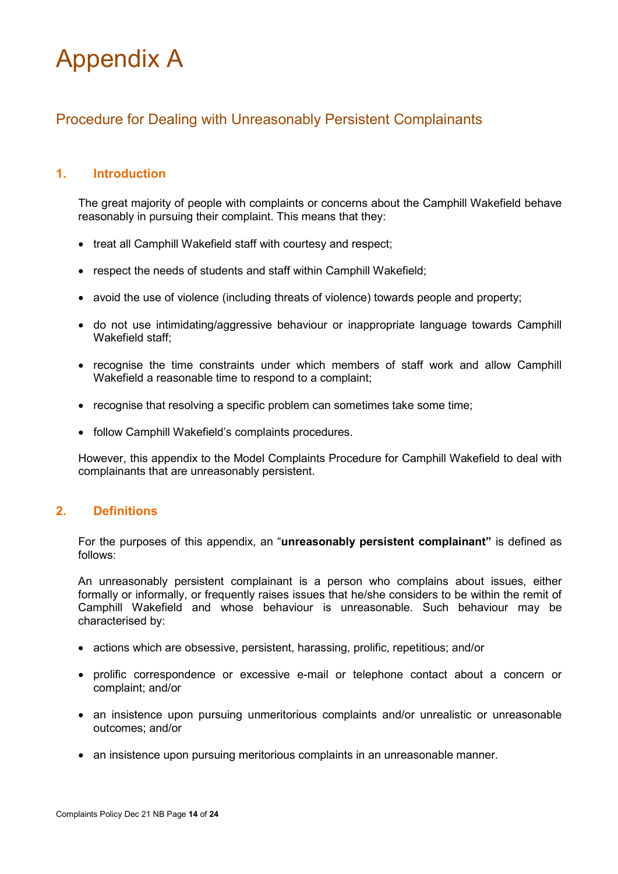## Appendix A

## <span id="page-13-0"></span>Procedure for Dealing with Unreasonably Persistent Complainants

## **1. Introduction**

The great majority of people with complaints or concerns about the Camphill Wakefield behave reasonably in pursuing their complaint. This means that they:

- treat all Camphill Wakefield staff with courtesy and respect;
- respect the needs of students and staff within Camphill Wakefield;
- avoid the use of violence (including threats of violence) towards people and property;
- do not use intimidating/aggressive behaviour or inappropriate language towards Camphill Wakefield staff;
- recognise the time constraints under which members of staff work and allow Camphill Wakefield a reasonable time to respond to a complaint;
- recognise that resolving a specific problem can sometimes take some time;
- follow Camphill Wakefield's complaints procedures.

However, this appendix to the Model Complaints Procedure for Camphill Wakefield to deal with complainants that are unreasonably persistent.

## **2. Definitions**

For the purposes of this appendix, an "**unreasonably persistent complainant"** is defined as follows:

An unreasonably persistent complainant is a person who complains about issues, either formally or informally, or frequently raises issues that he/she considers to be within the remit of Camphill Wakefield and whose behaviour is unreasonable. Such behaviour may be characterised by:

- actions which are obsessive, persistent, harassing, prolific, repetitious; and/or
- prolific correspondence or excessive e-mail or telephone contact about a concern or complaint; and/or
- an insistence upon pursuing unmeritorious complaints and/or unrealistic or unreasonable outcomes; and/or
- an insistence upon pursuing meritorious complaints in an unreasonable manner.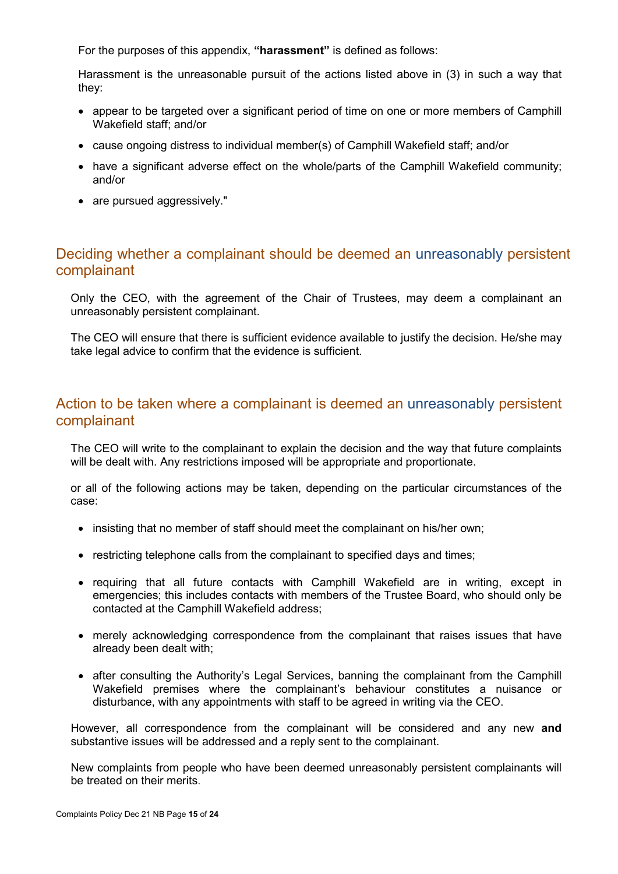For the purposes of this appendix, **"harassment"** is defined as follows:

Harassment is the unreasonable pursuit of the actions listed above in (3) in such a way that they:

- appear to be targeted over a significant period of time on one or more members of Camphill Wakefield staff; and/or
- cause ongoing distress to individual member(s) of Camphill Wakefield staff; and/or
- have a significant adverse effect on the whole/parts of the Camphill Wakefield community; and/or
- are pursued aggressively."

## <span id="page-14-0"></span>Deciding whether a complainant should be deemed an unreasonably persistent complainant

Only the CEO, with the agreement of the Chair of Trustees, may deem a complainant an unreasonably persistent complainant.

The CEO will ensure that there is sufficient evidence available to justify the decision. He/she may take legal advice to confirm that the evidence is sufficient.

## <span id="page-14-1"></span>Action to be taken where a complainant is deemed an unreasonably persistent complainant

The CEO will write to the complainant to explain the decision and the way that future complaints will be dealt with. Any restrictions imposed will be appropriate and proportionate.

or all of the following actions may be taken, depending on the particular circumstances of the case:

- insisting that no member of staff should meet the complainant on his/her own;
- restricting telephone calls from the complainant to specified days and times;
- requiring that all future contacts with Camphill Wakefield are in writing, except in emergencies; this includes contacts with members of the Trustee Board, who should only be contacted at the Camphill Wakefield address;
- merely acknowledging correspondence from the complainant that raises issues that have already been dealt with;
- after consulting the Authority's Legal Services, banning the complainant from the Camphill Wakefield premises where the complainant's behaviour constitutes a nuisance or disturbance, with any appointments with staff to be agreed in writing via the CEO.

However, all correspondence from the complainant will be considered and any new **and**  substantive issues will be addressed and a reply sent to the complainant.

New complaints from people who have been deemed unreasonably persistent complainants will be treated on their merits.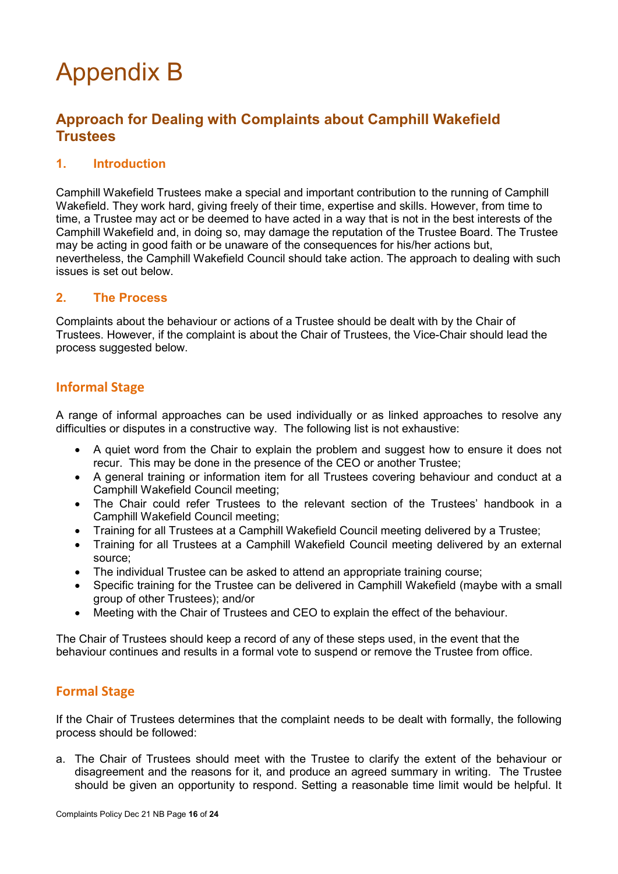## Appendix B

## <span id="page-15-0"></span>**Approach for Dealing with Complaints about Camphill Wakefield Trustees**

## **1. Introduction**

Camphill Wakefield Trustees make a special and important contribution to the running of Camphill Wakefield. They work hard, giving freely of their time, expertise and skills. However, from time to time, a Trustee may act or be deemed to have acted in a way that is not in the best interests of the Camphill Wakefield and, in doing so, may damage the reputation of the Trustee Board. The Trustee may be acting in good faith or be unaware of the consequences for his/her actions but, nevertheless, the Camphill Wakefield Council should take action. The approach to dealing with such issues is set out below.

#### **2. The Process**

Complaints about the behaviour or actions of a Trustee should be dealt with by the Chair of Trustees. However, if the complaint is about the Chair of Trustees, the Vice-Chair should lead the process suggested below.

#### **Informal Stage**

A range of informal approaches can be used individually or as linked approaches to resolve any difficulties or disputes in a constructive way. The following list is not exhaustive:

- A quiet word from the Chair to explain the problem and suggest how to ensure it does not recur. This may be done in the presence of the CEO or another Trustee;
- A general training or information item for all Trustees covering behaviour and conduct at a Camphill Wakefield Council meeting;
- The Chair could refer Trustees to the relevant section of the Trustees' handbook in a Camphill Wakefield Council meeting;
- Training for all Trustees at a Camphill Wakefield Council meeting delivered by a Trustee;
- Training for all Trustees at a Camphill Wakefield Council meeting delivered by an external source;
- The individual Trustee can be asked to attend an appropriate training course;
- Specific training for the Trustee can be delivered in Camphill Wakefield (maybe with a small group of other Trustees); and/or
- Meeting with the Chair of Trustees and CEO to explain the effect of the behaviour.

The Chair of Trustees should keep a record of any of these steps used, in the event that the behaviour continues and results in a formal vote to suspend or remove the Trustee from office.

## **Formal Stage**

If the Chair of Trustees determines that the complaint needs to be dealt with formally, the following process should be followed:

a. The Chair of Trustees should meet with the Trustee to clarify the extent of the behaviour or disagreement and the reasons for it, and produce an agreed summary in writing. The Trustee should be given an opportunity to respond. Setting a reasonable time limit would be helpful. It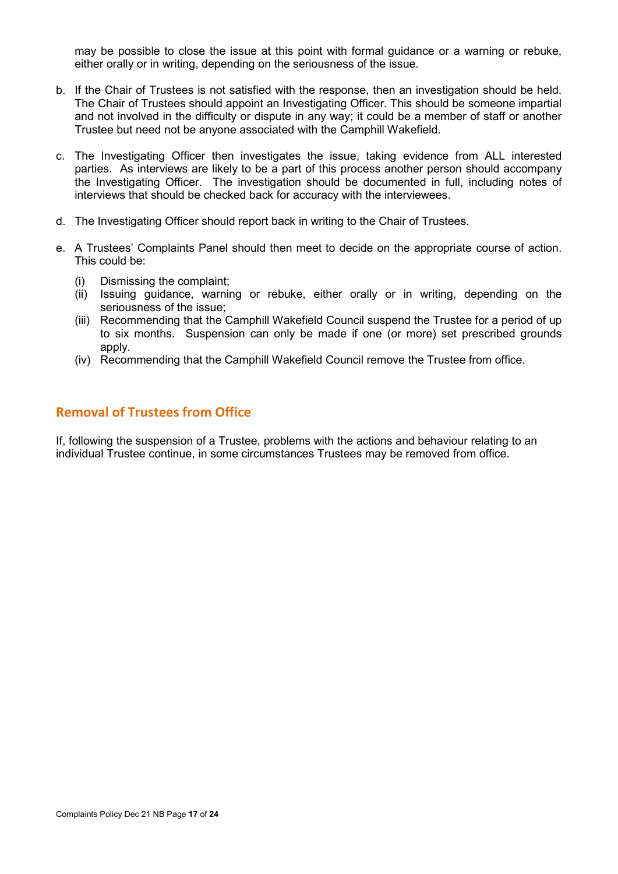may be possible to close the issue at this point with formal guidance or a warning or rebuke, either orally or in writing, depending on the seriousness of the issue.

- b. If the Chair of Trustees is not satisfied with the response, then an investigation should be held. The Chair of Trustees should appoint an Investigating Officer. This should be someone impartial and not involved in the difficulty or dispute in any way; it could be a member of staff or another Trustee but need not be anyone associated with the Camphill Wakefield.
- c. The Investigating Officer then investigates the issue, taking evidence from ALL interested parties. As interviews are likely to be a part of this process another person should accompany the Investigating Officer. The investigation should be documented in full, including notes of interviews that should be checked back for accuracy with the interviewees.
- d. The Investigating Officer should report back in writing to the Chair of Trustees.
- e. A Trustees' Complaints Panel should then meet to decide on the appropriate course of action. This could be:
	- (i) Dismissing the complaint;
	- (ii) Issuing guidance, warning or rebuke, either orally or in writing, depending on the seriousness of the issue;
	- (iii) Recommending that the Camphill Wakefield Council suspend the Trustee for a period of up to six months. Suspension can only be made if one (or more) set prescribed grounds apply.
	- (iv) Recommending that the Camphill Wakefield Council remove the Trustee from office.

## **Removal of Trustees from Office**

If, following the suspension of a Trustee, problems with the actions and behaviour relating to an individual Trustee continue, in some circumstances Trustees may be removed from office.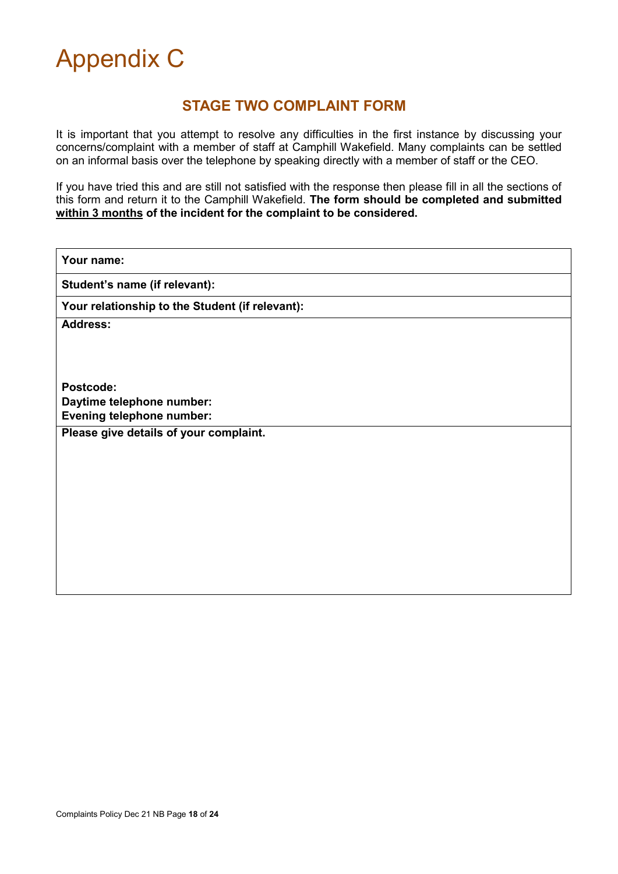<span id="page-17-0"></span>

## **STAGE TWO COMPLAINT FORM**

It is important that you attempt to resolve any difficulties in the first instance by discussing your concerns/complaint with a member of staff at Camphill Wakefield. Many complaints can be settled on an informal basis over the telephone by speaking directly with a member of staff or the CEO.

If you have tried this and are still not satisfied with the response then please fill in all the sections of this form and return it to the Camphill Wakefield. **The form should be completed and submitted within 3 months of the incident for the complaint to be considered.**

| Your name:                                      |  |  |  |
|-------------------------------------------------|--|--|--|
| Student's name (if relevant):                   |  |  |  |
| Your relationship to the Student (if relevant): |  |  |  |
| <b>Address:</b>                                 |  |  |  |
|                                                 |  |  |  |
|                                                 |  |  |  |
| Postcode:                                       |  |  |  |
| Daytime telephone number:                       |  |  |  |
| <b>Evening telephone number:</b>                |  |  |  |
| Please give details of your complaint.          |  |  |  |
|                                                 |  |  |  |
|                                                 |  |  |  |
|                                                 |  |  |  |
|                                                 |  |  |  |
|                                                 |  |  |  |
|                                                 |  |  |  |
|                                                 |  |  |  |
|                                                 |  |  |  |
|                                                 |  |  |  |
|                                                 |  |  |  |
|                                                 |  |  |  |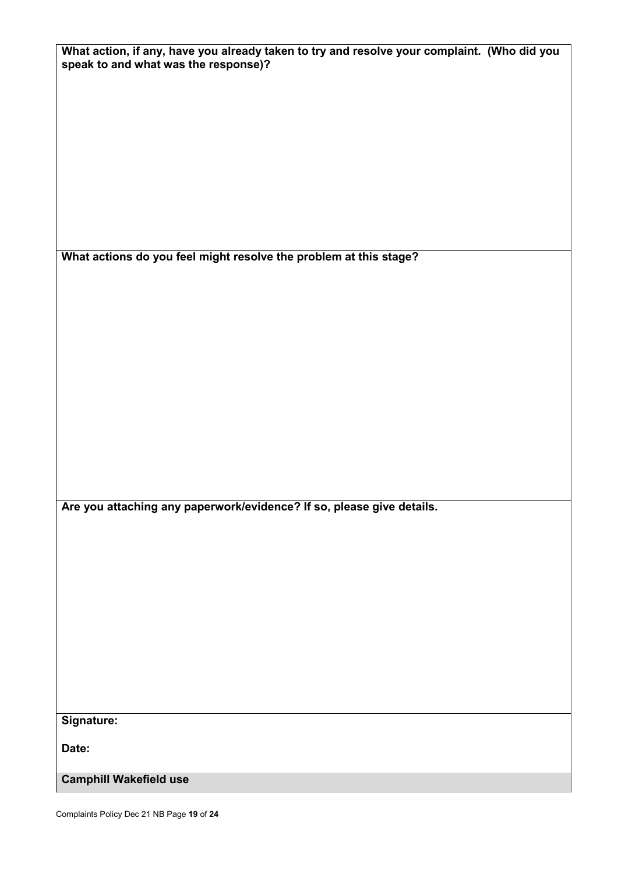| What action, if any, have you already taken to try and resolve your complaint. (Who did you<br>speak to and what was the response)? |
|-------------------------------------------------------------------------------------------------------------------------------------|
|                                                                                                                                     |
|                                                                                                                                     |
|                                                                                                                                     |
|                                                                                                                                     |
| What actions do you feel might resolve the problem at this stage?                                                                   |
|                                                                                                                                     |
|                                                                                                                                     |
|                                                                                                                                     |
|                                                                                                                                     |
|                                                                                                                                     |
| Are you attaching any paperwork/evidence? If so, please give details.                                                               |
|                                                                                                                                     |
|                                                                                                                                     |
|                                                                                                                                     |
|                                                                                                                                     |
|                                                                                                                                     |
| Signature:                                                                                                                          |
| Date:                                                                                                                               |
| <b>Camphill Wakefield use</b>                                                                                                       |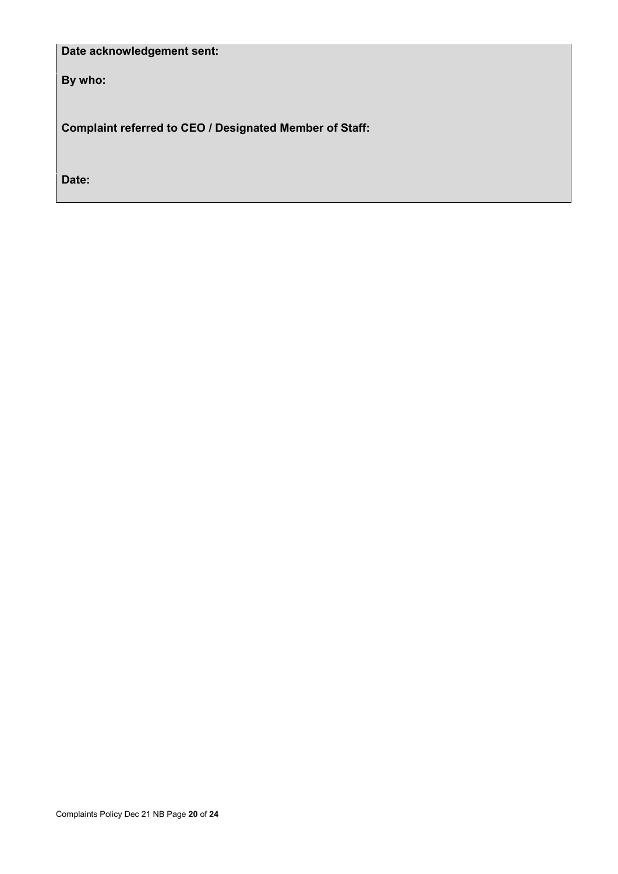## **Date acknowledgement sent:**

**By who:** 

**Complaint referred to CEO / Designated Member of Staff:** 

**Date:**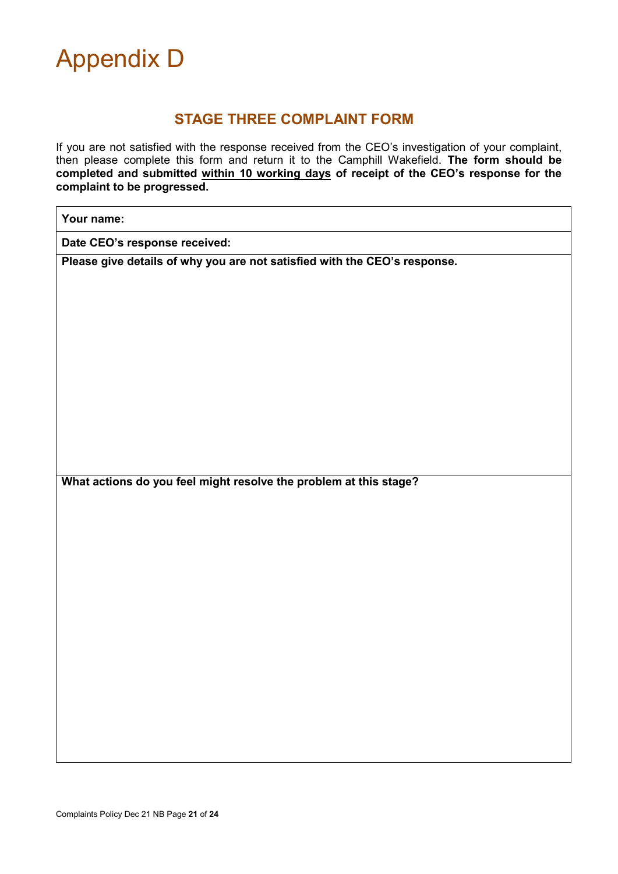<span id="page-20-0"></span>

## **STAGE THREE COMPLAINT FORM**

If you are not satisfied with the response received from the CEO's investigation of your complaint, then please complete this form and return it to the Camphill Wakefield. **The form should be completed and submitted within 10 working days of receipt of the CEO's response for the complaint to be progressed.**

**Date CEO's response received:**

**Please give details of why you are not satisfied with the CEO's response.** 

**What actions do you feel might resolve the problem at this stage?**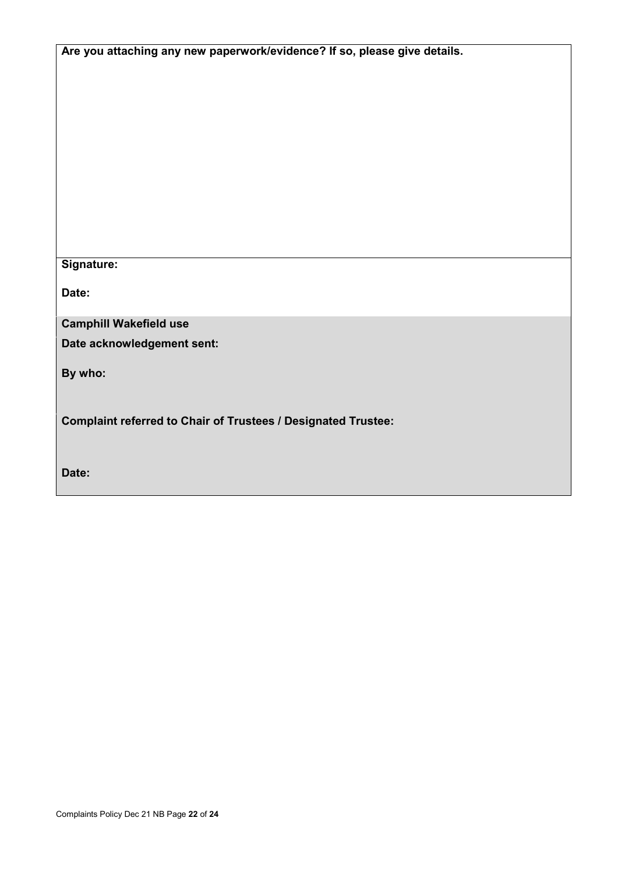| Are you attaching any new paperwork/evidence? If so, please give details. |  |  |
|---------------------------------------------------------------------------|--|--|
|                                                                           |  |  |
|                                                                           |  |  |
|                                                                           |  |  |
|                                                                           |  |  |
|                                                                           |  |  |
|                                                                           |  |  |
|                                                                           |  |  |
|                                                                           |  |  |
| Signature:                                                                |  |  |
| Date:                                                                     |  |  |
| <b>Camphill Wakefield use</b>                                             |  |  |
| Date acknowledgement sent:                                                |  |  |
| By who:                                                                   |  |  |
| <b>Complaint referred to Chair of Trustees / Designated Trustee:</b>      |  |  |
|                                                                           |  |  |
| Date:                                                                     |  |  |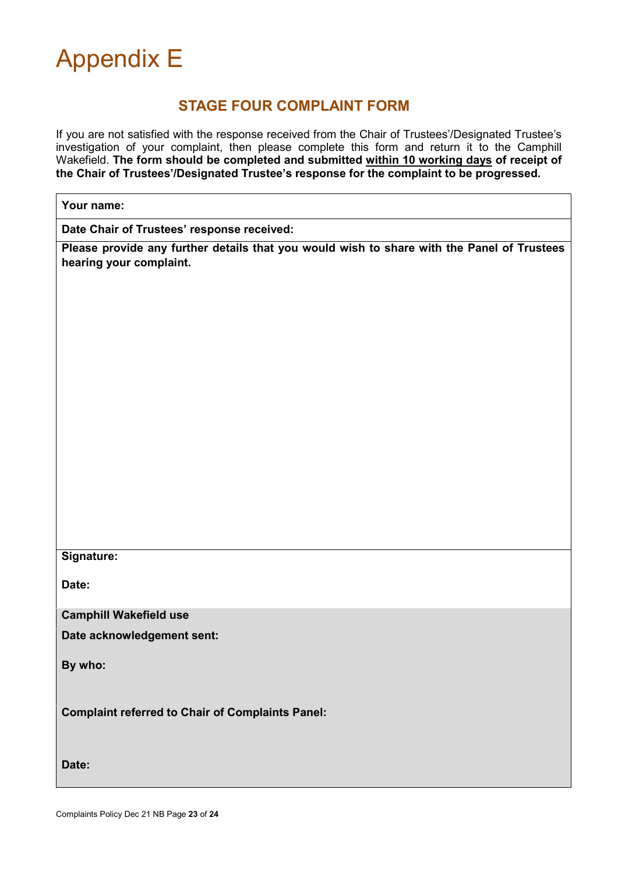<span id="page-22-0"></span>

## **STAGE FOUR COMPLAINT FORM**

If you are not satisfied with the response received from the Chair of Trustees'/Designated Trustee's investigation of your complaint, then please complete this form and return it to the Camphill Wakefield. **The form should be completed and submitted within 10 working days of receipt of the Chair of Trustees'/Designated Trustee's response for the complaint to be progressed.**

| Your name:                                                                                                            |  |  |
|-----------------------------------------------------------------------------------------------------------------------|--|--|
| Date Chair of Trustees' response received:                                                                            |  |  |
| Please provide any further details that you would wish to share with the Panel of Trustees<br>hearing your complaint. |  |  |
|                                                                                                                       |  |  |
|                                                                                                                       |  |  |
|                                                                                                                       |  |  |
|                                                                                                                       |  |  |
|                                                                                                                       |  |  |
|                                                                                                                       |  |  |
|                                                                                                                       |  |  |
|                                                                                                                       |  |  |
|                                                                                                                       |  |  |
|                                                                                                                       |  |  |
| Signature:                                                                                                            |  |  |
|                                                                                                                       |  |  |
| Date:                                                                                                                 |  |  |
| <b>Camphill Wakefield use</b>                                                                                         |  |  |
| Date acknowledgement sent:                                                                                            |  |  |
| By who:                                                                                                               |  |  |
|                                                                                                                       |  |  |
| <b>Complaint referred to Chair of Complaints Panel:</b>                                                               |  |  |
|                                                                                                                       |  |  |
| Date:                                                                                                                 |  |  |